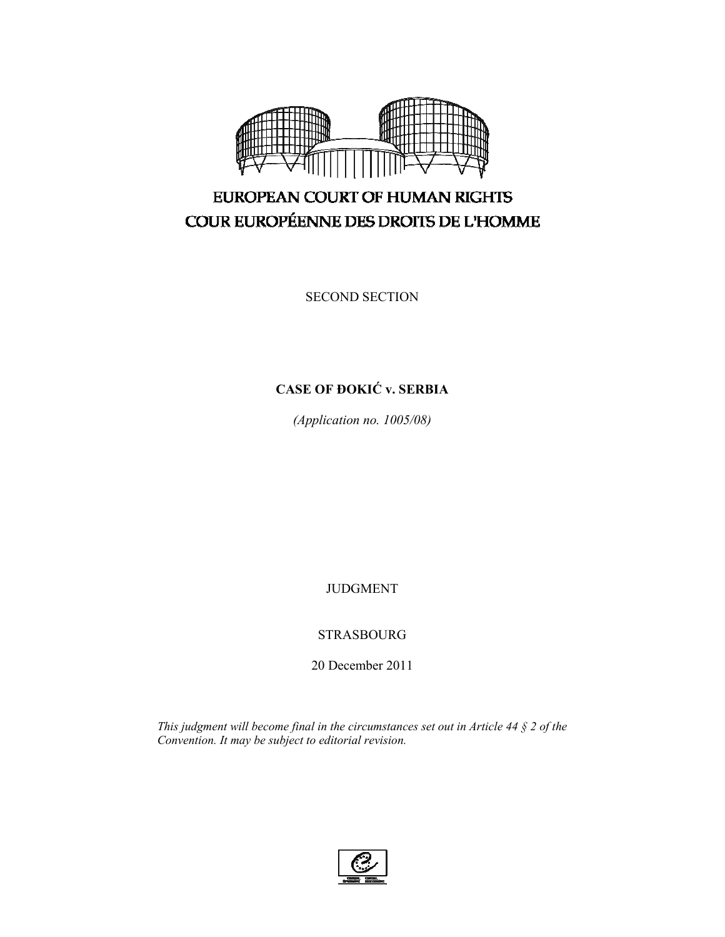

# EUROPEAN COURT OF HUMAN RIGHTS COUR EUROPÉENNE DES DROITS DE L'HOMME

SECOND SECTION

# **CASE OF ĐOKIĆ v. SERBIA**

*(Application no. 1005/08)* 

JUDGMENT

STRASBOURG

20 December 2011

*This judgment will become final in the circumstances set out in Article 44 § 2 of the Convention. It may be subject to editorial revision.* 

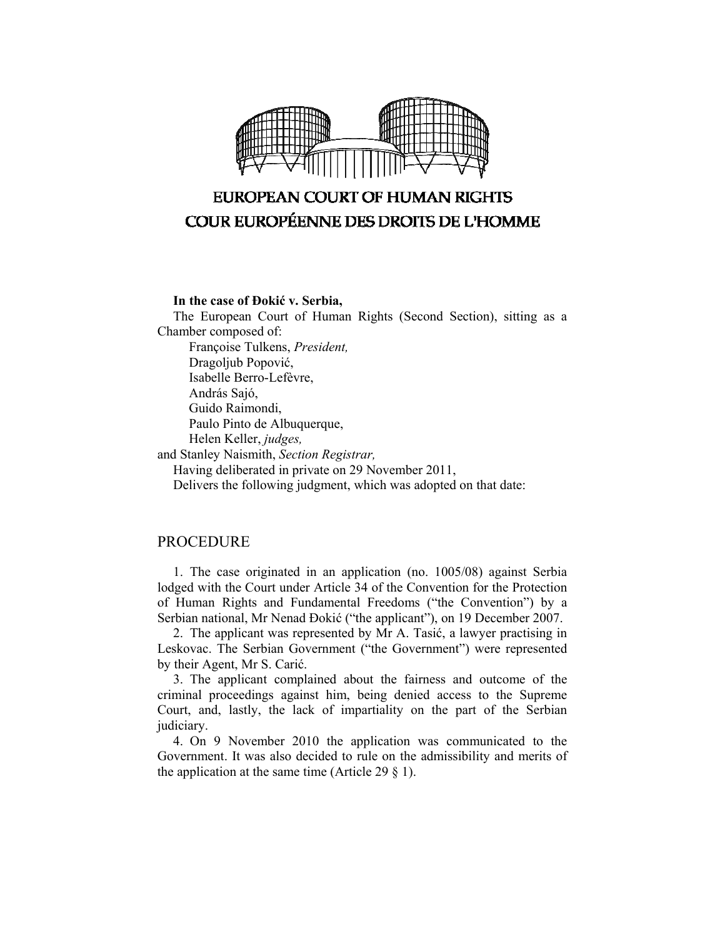

# **EUROPEAN COURT OF HUMAN RIGHTS COUR EUROPÉENNE DES DROITS DE L'HOMME**

### **In the case of Đokić v. Serbia,**

The European Court of Human Rights (Second Section), sitting as a Chamber composed of:

Françoise Tulkens, *President,* 

Dragoljub Popović,

Isabelle Berro-Lefèvre,

András Sajó,

Guido Raimondi,

Paulo Pinto de Albuquerque,

Helen Keller, *judges,*

and Stanley Naismith, *Section Registrar,*

Having deliberated in private on 29 November 2011,

Delivers the following judgment, which was adopted on that date:

### **PROCEDURE**

1. The case originated in an application (no. 1005/08) against Serbia lodged with the Court under Article 34 of the Convention for the Protection of Human Rights and Fundamental Freedoms ("the Convention") by a Serbian national, Mr Nenad Đokić ("the applicant"), on 19 December 2007.

2. The applicant was represented by Mr A. Tasić, a lawyer practising in Leskovac. The Serbian Government ("the Government") were represented by their Agent, Mr S. Carić.

3. The applicant complained about the fairness and outcome of the criminal proceedings against him, being denied access to the Supreme Court, and, lastly, the lack of impartiality on the part of the Serbian judiciary.

4. On 9 November 2010 the application was communicated to the Government. It was also decided to rule on the admissibility and merits of the application at the same time (Article 29  $\S$  1).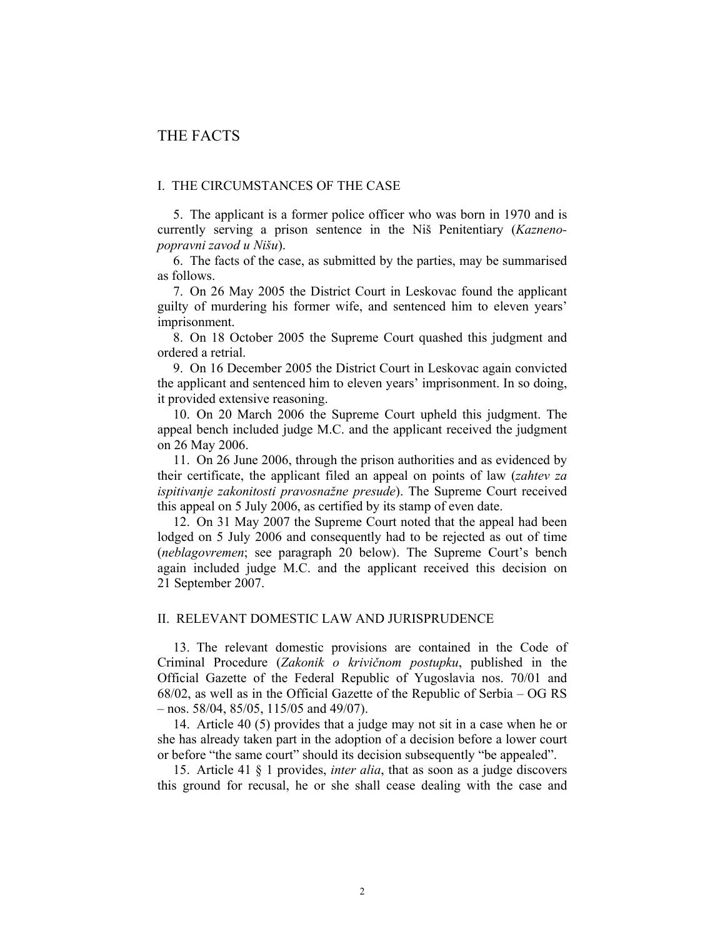## THE FACTS

#### I. THE CIRCUMSTANCES OF THE CASE

5. The applicant is a former police officer who was born in 1970 and is currently serving a prison sentence in the Niš Penitentiary (*Kaznenopopravni zavod u Nišu*).

6. The facts of the case, as submitted by the parties, may be summarised as follows.

7. On 26 May 2005 the District Court in Leskovac found the applicant guilty of murdering his former wife, and sentenced him to eleven years' imprisonment.

8. On 18 October 2005 the Supreme Court quashed this judgment and ordered a retrial.

9. On 16 December 2005 the District Court in Leskovac again convicted the applicant and sentenced him to eleven years' imprisonment. In so doing, it provided extensive reasoning.

10. On 20 March 2006 the Supreme Court upheld this judgment. The appeal bench included judge M.C. and the applicant received the judgment on 26 May 2006.

11. On 26 June 2006, through the prison authorities and as evidenced by their certificate, the applicant filed an appeal on points of law (*zahtev za ispitivanje zakonitosti pravosnažne presude*). The Supreme Court received this appeal on 5 July 2006, as certified by its stamp of even date.

12. On 31 May 2007 the Supreme Court noted that the appeal had been lodged on 5 July 2006 and consequently had to be rejected as out of time (*neblagovremen*; see paragraph 20 below). The Supreme Court's bench again included judge M.C. and the applicant received this decision on 21 September 2007.

#### II. RELEVANT DOMESTIC LAW AND JURISPRUDENCE

13. The relevant domestic provisions are contained in the Code of Criminal Procedure (*Zakonik o krivičnom postupku*, published in the Official Gazette of the Federal Republic of Yugoslavia nos. 70/01 and 68/02, as well as in the Official Gazette of the Republic of Serbia – OG RS – nos. 58/04, 85/05, 115/05 and 49/07).

14. Article 40 (5) provides that a judge may not sit in a case when he or she has already taken part in the adoption of a decision before a lower court or before "the same court" should its decision subsequently "be appealed".

15. Article 41 § 1 provides, *inter alia*, that as soon as a judge discovers this ground for recusal, he or she shall cease dealing with the case and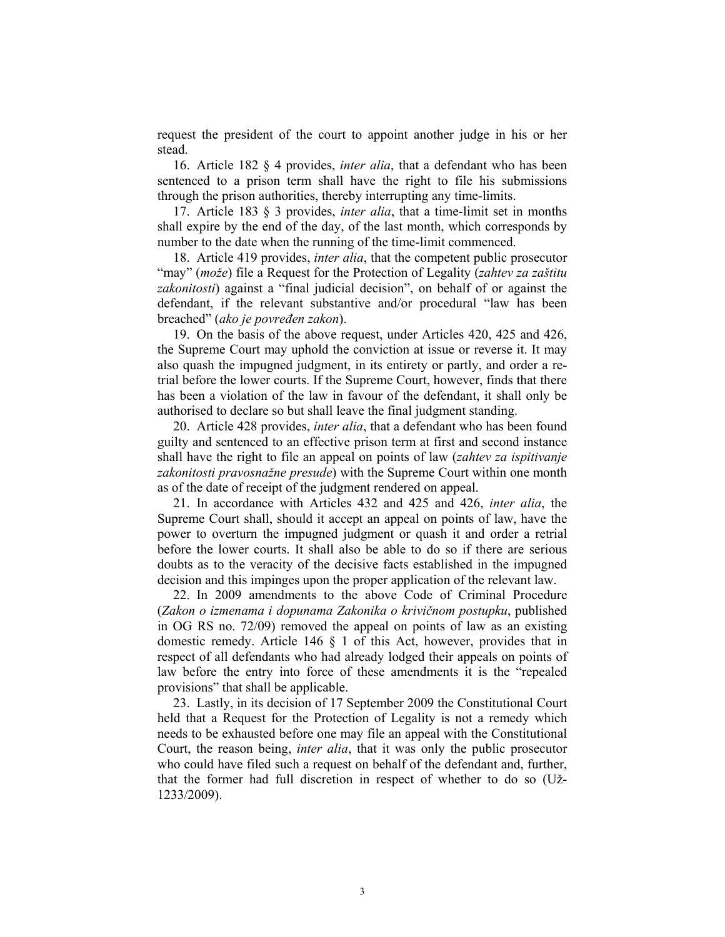request the president of the court to appoint another judge in his or her stead.

16. Article 182 § 4 provides, *inter alia*, that a defendant who has been sentenced to a prison term shall have the right to file his submissions through the prison authorities, thereby interrupting any time-limits.

17. Article 183 § 3 provides, *inter alia*, that a time-limit set in months shall expire by the end of the day, of the last month, which corresponds by number to the date when the running of the time-limit commenced.

18. Article 419 provides, *inter alia*, that the competent public prosecutor "may" (*može*) file a Request for the Protection of Legality (*zahtev za zaštitu zakonitosti*) against a "final judicial decision", on behalf of or against the defendant, if the relevant substantive and/or procedural "law has been breached" (*ako je povređen zakon*).

19. On the basis of the above request, under Articles 420, 425 and 426, the Supreme Court may uphold the conviction at issue or reverse it. It may also quash the impugned judgment, in its entirety or partly, and order a retrial before the lower courts. If the Supreme Court, however, finds that there has been a violation of the law in favour of the defendant, it shall only be authorised to declare so but shall leave the final judgment standing.

20. Article 428 provides, *inter alia*, that a defendant who has been found guilty and sentenced to an effective prison term at first and second instance shall have the right to file an appeal on points of law (*zahtev za ispitivanje zakonitosti pravosnažne presude*) with the Supreme Court within one month as of the date of receipt of the judgment rendered on appeal.

21. In accordance with Articles 432 and 425 and 426, *inter alia*, the Supreme Court shall, should it accept an appeal on points of law, have the power to overturn the impugned judgment or quash it and order a retrial before the lower courts. It shall also be able to do so if there are serious doubts as to the veracity of the decisive facts established in the impugned decision and this impinges upon the proper application of the relevant law.

22. In 2009 amendments to the above Code of Criminal Procedure (*Zakon o izmenama i dopunama Zakonika o krivičnom postupku*, published in OG RS no. 72/09) removed the appeal on points of law as an existing domestic remedy. Article 146 § 1 of this Act, however, provides that in respect of all defendants who had already lodged their appeals on points of law before the entry into force of these amendments it is the "repealed provisions" that shall be applicable.

23. Lastly, in its decision of 17 September 2009 the Constitutional Court held that a Request for the Protection of Legality is not a remedy which needs to be exhausted before one may file an appeal with the Constitutional Court, the reason being, *inter alia*, that it was only the public prosecutor who could have filed such a request on behalf of the defendant and, further, that the former had full discretion in respect of whether to do so (Už-1233/2009).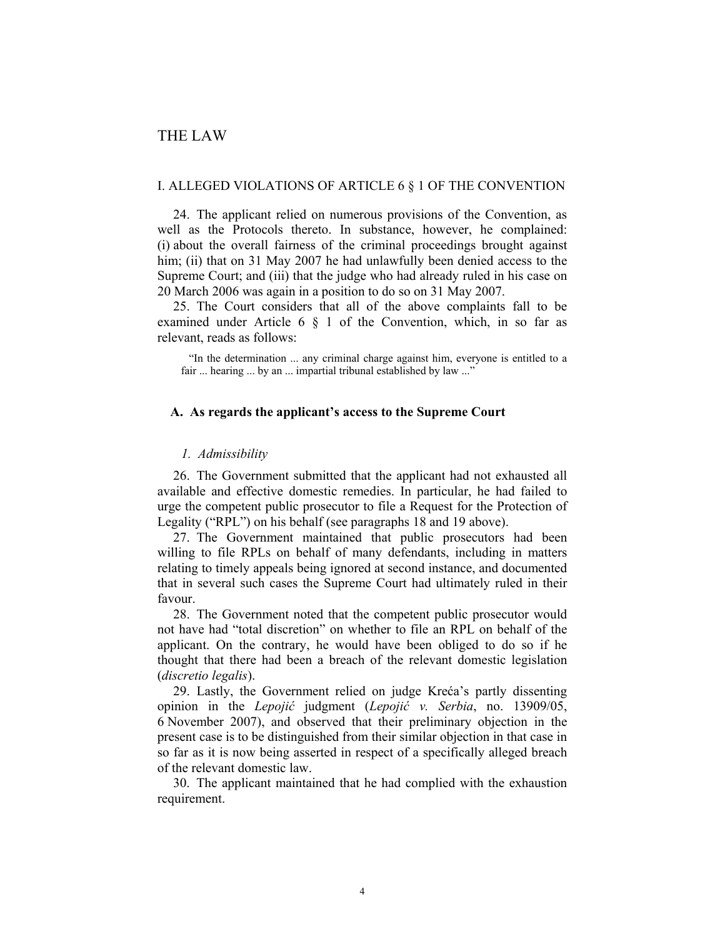## THE LAW

#### I. ALLEGED VIOLATIONS OF ARTICLE 6 § 1 OF THE CONVENTION

24. The applicant relied on numerous provisions of the Convention, as well as the Protocols thereto. In substance, however, he complained: (i) about the overall fairness of the criminal proceedings brought against him; (ii) that on 31 May 2007 he had unlawfully been denied access to the Supreme Court; and (iii) that the judge who had already ruled in his case on 20 March 2006 was again in a position to do so on 31 May 2007.

25. The Court considers that all of the above complaints fall to be examined under Article 6 § 1 of the Convention, which, in so far as relevant, reads as follows:

"In the determination ... any criminal charge against him, everyone is entitled to a fair ... hearing ... by an ... impartial tribunal established by law ..."

#### **A. As regards the applicant's access to the Supreme Court**

#### *1. Admissibility*

26. The Government submitted that the applicant had not exhausted all available and effective domestic remedies. In particular, he had failed to urge the competent public prosecutor to file a Request for the Protection of Legality ("RPL") on his behalf (see paragraphs 18 and 19 above).

27. The Government maintained that public prosecutors had been willing to file RPLs on behalf of many defendants, including in matters relating to timely appeals being ignored at second instance, and documented that in several such cases the Supreme Court had ultimately ruled in their favour.

28. The Government noted that the competent public prosecutor would not have had "total discretion" on whether to file an RPL on behalf of the applicant. On the contrary, he would have been obliged to do so if he thought that there had been a breach of the relevant domestic legislation (*discretio legalis*).

29. Lastly, the Government relied on judge Kreća's partly dissenting opinion in the *Lepojić* judgment (*Lepojić v. Serbia*, no. 13909/05, 6 November 2007), and observed that their preliminary objection in the present case is to be distinguished from their similar objection in that case in so far as it is now being asserted in respect of a specifically alleged breach of the relevant domestic law.

30. The applicant maintained that he had complied with the exhaustion requirement.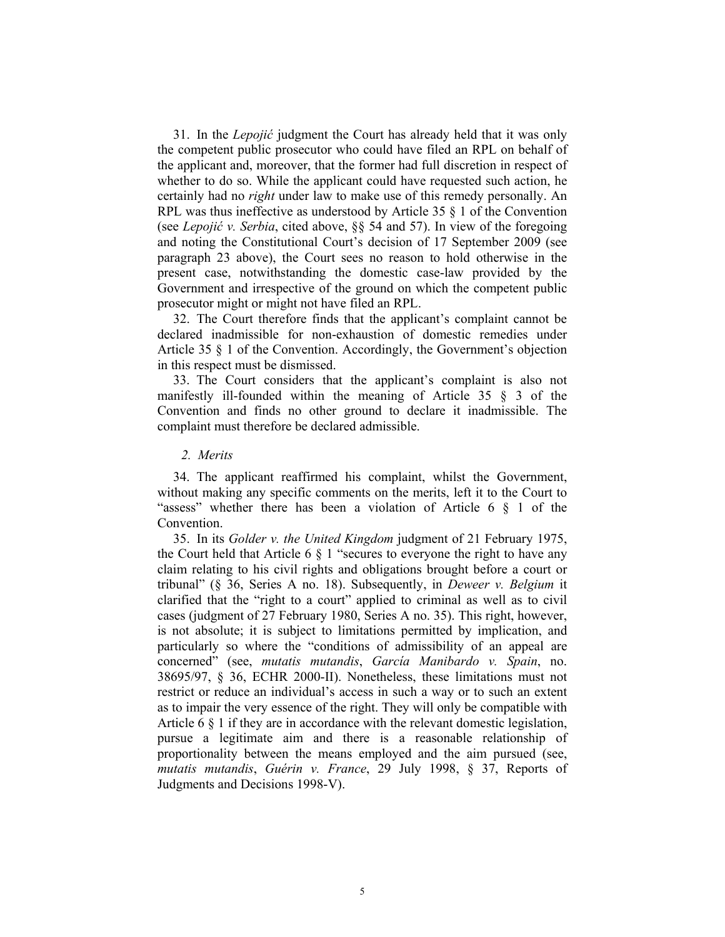31. In the *Lepojić* judgment the Court has already held that it was only the competent public prosecutor who could have filed an RPL on behalf of the applicant and, moreover, that the former had full discretion in respect of whether to do so. While the applicant could have requested such action, he certainly had no *right* under law to make use of this remedy personally. An RPL was thus ineffective as understood by Article 35 § 1 of the Convention (see *Lepojić v. Serbia*, cited above, §§ 54 and 57). In view of the foregoing and noting the Constitutional Court's decision of 17 September 2009 (see paragraph 23 above), the Court sees no reason to hold otherwise in the present case, notwithstanding the domestic case-law provided by the Government and irrespective of the ground on which the competent public prosecutor might or might not have filed an RPL.

32. The Court therefore finds that the applicant's complaint cannot be declared inadmissible for non-exhaustion of domestic remedies under Article 35 § 1 of the Convention. Accordingly, the Government's objection in this respect must be dismissed.

33. The Court considers that the applicant's complaint is also not manifestly ill-founded within the meaning of Article 35 § 3 of the Convention and finds no other ground to declare it inadmissible. The complaint must therefore be declared admissible.

#### *2. Merits*

34. The applicant reaffirmed his complaint, whilst the Government, without making any specific comments on the merits, left it to the Court to "assess" whether there has been a violation of Article  $6 \S 1$  of the Convention.

35. In its *Golder v. the United Kingdom* judgment of 21 February 1975, the Court held that Article 6  $\S$  1 "secures to everyone the right to have any claim relating to his civil rights and obligations brought before a court or tribunal" (§ 36, Series A no. 18). Subsequently, in *Deweer v. Belgium* it clarified that the "right to a court" applied to criminal as well as to civil cases (judgment of 27 February 1980, Series A no. 35). This right, however, is not absolute; it is subject to limitations permitted by implication, and particularly so where the "conditions of admissibility of an appeal are concerned" (see, *mutatis mutandis*, *García Manibardo v. Spain*, no. 38695/97, § 36, ECHR 2000-II). Nonetheless, these limitations must not restrict or reduce an individual's access in such a way or to such an extent as to impair the very essence of the right. They will only be compatible with Article 6 § 1 if they are in accordance with the relevant domestic legislation, pursue a legitimate aim and there is a reasonable relationship of proportionality between the means employed and the aim pursued (see, *mutatis mutandis*, *Guérin v. France*, 29 July 1998, § 37, Reports of Judgments and Decisions 1998-V).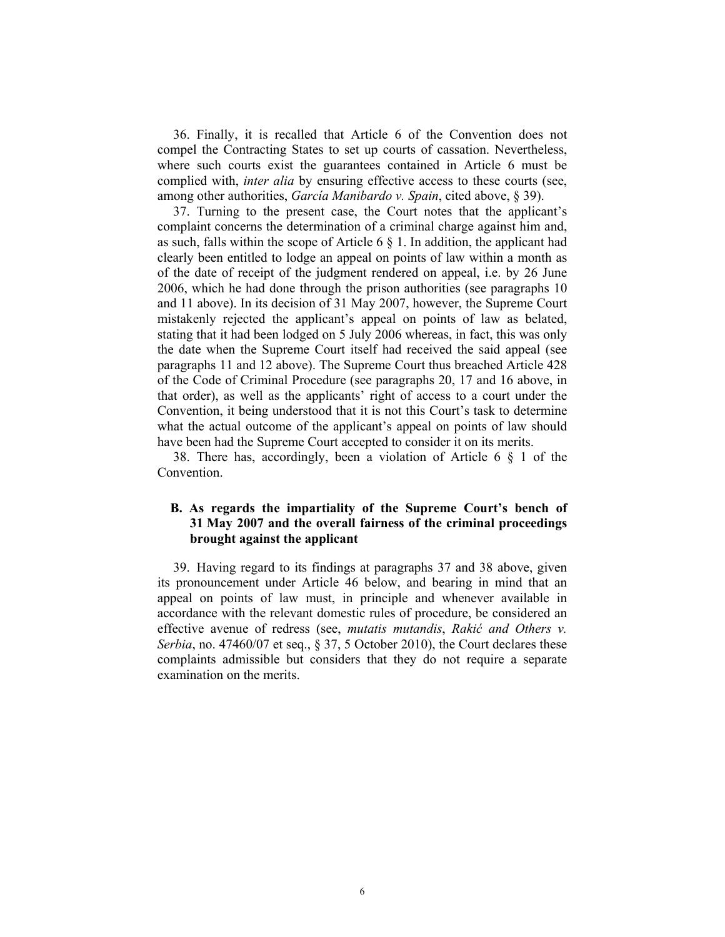36. Finally, it is recalled that Article 6 of the Convention does not compel the Contracting States to set up courts of cassation. Nevertheless, where such courts exist the guarantees contained in Article 6 must be complied with, *inter alia* by ensuring effective access to these courts (see, among other authorities, *García Manibardo v. Spain*, cited above, § 39).

37. Turning to the present case, the Court notes that the applicant's complaint concerns the determination of a criminal charge against him and, as such, falls within the scope of Article 6  $\S$  1. In addition, the applicant had clearly been entitled to lodge an appeal on points of law within a month as of the date of receipt of the judgment rendered on appeal, i.e. by 26 June 2006, which he had done through the prison authorities (see paragraphs 10 and 11 above). In its decision of 31 May 2007, however, the Supreme Court mistakenly rejected the applicant's appeal on points of law as belated, stating that it had been lodged on 5 July 2006 whereas, in fact, this was only the date when the Supreme Court itself had received the said appeal (see paragraphs 11 and 12 above). The Supreme Court thus breached Article 428 of the Code of Criminal Procedure (see paragraphs 20, 17 and 16 above, in that order), as well as the applicants' right of access to a court under the Convention, it being understood that it is not this Court's task to determine what the actual outcome of the applicant's appeal on points of law should have been had the Supreme Court accepted to consider it on its merits.

38. There has, accordingly, been a violation of Article 6 § 1 of the **Convention** 

### **B. As regards the impartiality of the Supreme Court's bench of 31 May 2007 and the overall fairness of the criminal proceedings brought against the applicant**

39. Having regard to its findings at paragraphs 37 and 38 above, given its pronouncement under Article 46 below, and bearing in mind that an appeal on points of law must, in principle and whenever available in accordance with the relevant domestic rules of procedure, be considered an effective avenue of redress (see, *mutatis mutandis*, *Rakić and Others v. Serbia*, no. 47460/07 et seq., § 37, 5 October 2010), the Court declares these complaints admissible but considers that they do not require a separate examination on the merits.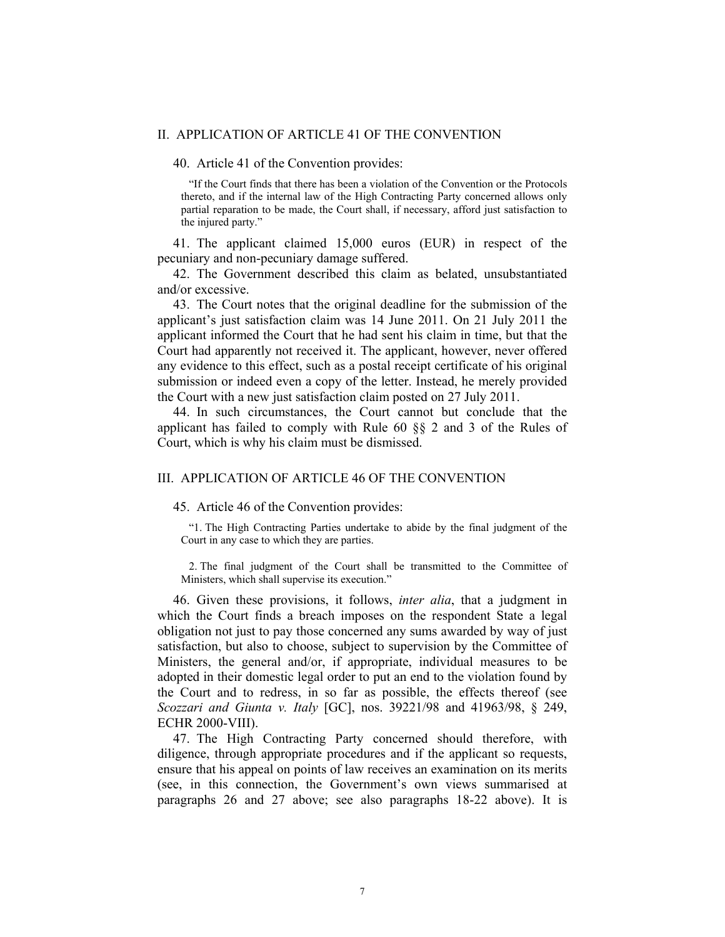#### II. APPLICATION OF ARTICLE 41 OF THE CONVENTION

40. Article 41 of the Convention provides:

"If the Court finds that there has been a violation of the Convention or the Protocols thereto, and if the internal law of the High Contracting Party concerned allows only partial reparation to be made, the Court shall, if necessary, afford just satisfaction to the injured party."

41. The applicant claimed 15,000 euros (EUR) in respect of the pecuniary and non-pecuniary damage suffered.

42. The Government described this claim as belated, unsubstantiated and/or excessive.

43. The Court notes that the original deadline for the submission of the applicant's just satisfaction claim was 14 June 2011. On 21 July 2011 the applicant informed the Court that he had sent his claim in time, but that the Court had apparently not received it. The applicant, however, never offered any evidence to this effect, such as a postal receipt certificate of his original submission or indeed even a copy of the letter. Instead, he merely provided the Court with a new just satisfaction claim posted on 27 July 2011.

44. In such circumstances, the Court cannot but conclude that the applicant has failed to comply with Rule 60 §§ 2 and 3 of the Rules of Court, which is why his claim must be dismissed.

#### III. APPLICATION OF ARTICLE 46 OF THE CONVENTION

#### 45. Article 46 of the Convention provides:

"1. The High Contracting Parties undertake to abide by the final judgment of the Court in any case to which they are parties.

2. The final judgment of the Court shall be transmitted to the Committee of Ministers, which shall supervise its execution."

46. Given these provisions, it follows, *inter alia*, that a judgment in which the Court finds a breach imposes on the respondent State a legal obligation not just to pay those concerned any sums awarded by way of just satisfaction, but also to choose, subject to supervision by the Committee of Ministers, the general and/or, if appropriate, individual measures to be adopted in their domestic legal order to put an end to the violation found by the Court and to redress, in so far as possible, the effects thereof (see *Scozzari and Giunta v. Italy* [GC], nos. 39221/98 and 41963/98, § 249, ECHR 2000-VIII).

47. The High Contracting Party concerned should therefore, with diligence, through appropriate procedures and if the applicant so requests, ensure that his appeal on points of law receives an examination on its merits (see, in this connection, the Government's own views summarised at paragraphs 26 and 27 above; see also paragraphs 18-22 above). It is